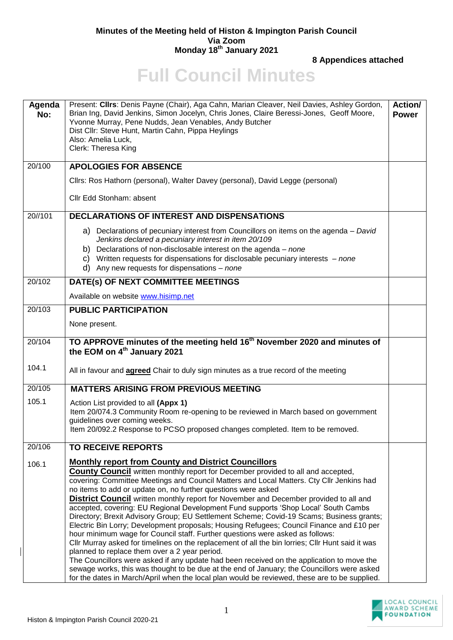## **Minutes of the Meeting held of Histon & Impington Parish Council Via Zoom Monday 18 th January 2021**

**8 Appendices attached**

## **Full Council Minutes**

| Agenda<br>No: | Present: Cllrs: Denis Payne (Chair), Aga Cahn, Marian Cleaver, Neil Davies, Ashley Gordon,<br>Brian Ing, David Jenkins, Simon Jocelyn, Chris Jones, Claire Beressi-Jones, Geoff Moore,<br>Yvonne Murray, Pene Nudds, Jean Venables, Andy Butcher<br>Dist Cllr: Steve Hunt, Martin Cahn, Pippa Heylings<br>Also: Amelia Luck,<br>Clerk: Theresa King         | <b>Action/</b><br><b>Power</b> |
|---------------|-------------------------------------------------------------------------------------------------------------------------------------------------------------------------------------------------------------------------------------------------------------------------------------------------------------------------------------------------------------|--------------------------------|
| 20/100        | <b>APOLOGIES FOR ABSENCE</b>                                                                                                                                                                                                                                                                                                                                |                                |
|               | Cllrs: Ros Hathorn (personal), Walter Davey (personal), David Legge (personal)                                                                                                                                                                                                                                                                              |                                |
|               | Cllr Edd Stonham: absent                                                                                                                                                                                                                                                                                                                                    |                                |
| 20//101       | <b>DECLARATIONS OF INTEREST AND DISPENSATIONS</b>                                                                                                                                                                                                                                                                                                           |                                |
|               | a) Declarations of pecuniary interest from Councillors on items on the agenda – David<br>Jenkins declared a pecuniary interest in item 20/109<br>b) Declarations of non-disclosable interest on the agenda $-$ none<br>c) Written requests for dispensations for disclosable pecuniary interests $-$ none<br>d) Any new requests for dispensations $-$ none |                                |
| 20/102        | DATE(s) OF NEXT COMMITTEE MEETINGS                                                                                                                                                                                                                                                                                                                          |                                |
|               | Available on website www.hisimp.net                                                                                                                                                                                                                                                                                                                         |                                |
| 20/103        | <b>PUBLIC PARTICIPATION</b>                                                                                                                                                                                                                                                                                                                                 |                                |
|               | None present.                                                                                                                                                                                                                                                                                                                                               |                                |
| 20/104        | TO APPROVE minutes of the meeting held 16 <sup>th</sup> November 2020 and minutes of<br>the EOM on 4 <sup>th</sup> January 2021                                                                                                                                                                                                                             |                                |
| 104.1         | All in favour and <b>agreed</b> Chair to duly sign minutes as a true record of the meeting                                                                                                                                                                                                                                                                  |                                |
| 20/105        | <b>MATTERS ARISING FROM PREVIOUS MEETING</b>                                                                                                                                                                                                                                                                                                                |                                |
| 105.1         | Action List provided to all (Appx 1)                                                                                                                                                                                                                                                                                                                        |                                |
|               | Item 20/074.3 Community Room re-opening to be reviewed in March based on government<br>guidelines over coming weeks.                                                                                                                                                                                                                                        |                                |
|               | Item 20/092.2 Response to PCSO proposed changes completed. Item to be removed.                                                                                                                                                                                                                                                                              |                                |
| 20/106        | <b>TO RECEIVE REPORTS</b>                                                                                                                                                                                                                                                                                                                                   |                                |
| 106.1         | <b>Monthly report from County and District Councillors</b>                                                                                                                                                                                                                                                                                                  |                                |
|               | <b>County Council</b> written monthly report for December provided to all and accepted,<br>covering: Committee Meetings and Council Matters and Local Matters. Cty Cllr Jenkins had                                                                                                                                                                         |                                |
|               | no items to add or update on, no further questions were asked                                                                                                                                                                                                                                                                                               |                                |
|               | <b>District Council</b> written monthly report for November and December provided to all and                                                                                                                                                                                                                                                                |                                |
|               | accepted, covering: EU Regional Development Fund supports 'Shop Local' South Cambs<br>Directory; Brexit Advisory Group; EU Settlement Scheme; Covid-19 Scams; Business grants;                                                                                                                                                                              |                                |
|               | Electric Bin Lorry; Development proposals; Housing Refugees; Council Finance and £10 per                                                                                                                                                                                                                                                                    |                                |
|               | hour minimum wage for Council staff. Further questions were asked as follows:<br>Cllr Murray asked for timelines on the replacement of all the bin lorries; Cllr Hunt said it was                                                                                                                                                                           |                                |
|               | planned to replace them over a 2 year period.                                                                                                                                                                                                                                                                                                               |                                |
|               | The Councillors were asked if any update had been received on the application to move the<br>sewage works, this was thought to be due at the end of January; the Councillors were asked<br>for the dates in March/April when the local plan would be reviewed, these are to be supplied.                                                                    |                                |

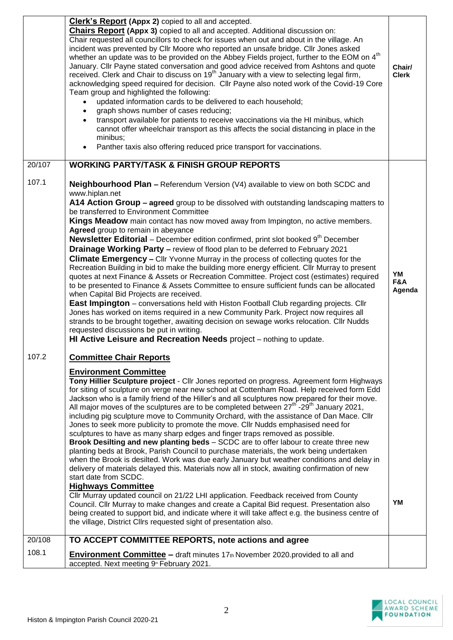|        | <b>Clerk's Report (Appx 2)</b> copied to all and accepted.<br><b>Chairs Report (Appx 3)</b> copied to all and accepted. Additional discussion on:<br>Chair requested all councillors to check for issues when out and about in the village. An<br>incident was prevented by Cllr Moore who reported an unsafe bridge. Cllr Jones asked<br>whether an update was to be provided on the Abbey Fields project, further to the EOM on 4 <sup>th</sup><br>January. Cllr Payne stated conversation and good advice received from Ashtons and quote<br>received. Clerk and Chair to discuss on 19 <sup>th</sup> January with a view to selecting legal firm,<br>acknowledging speed required for decision. Cllr Payne also noted work of the Covid-19 Core<br>Team group and highlighted the following:<br>updated information cards to be delivered to each household;<br>graph shows number of cases reducing;<br>transport available for patients to receive vaccinations via the HI minibus, which<br>cannot offer wheelchair transport as this affects the social distancing in place in the<br>minibus;<br>Panther taxis also offering reduced price transport for vaccinations.                                                                                                                                                                                                                                                                                                                                                                  | Chair/<br><b>Clerk</b> |
|--------|--------------------------------------------------------------------------------------------------------------------------------------------------------------------------------------------------------------------------------------------------------------------------------------------------------------------------------------------------------------------------------------------------------------------------------------------------------------------------------------------------------------------------------------------------------------------------------------------------------------------------------------------------------------------------------------------------------------------------------------------------------------------------------------------------------------------------------------------------------------------------------------------------------------------------------------------------------------------------------------------------------------------------------------------------------------------------------------------------------------------------------------------------------------------------------------------------------------------------------------------------------------------------------------------------------------------------------------------------------------------------------------------------------------------------------------------------------------------------------------------------------------------------------------------------|------------------------|
| 20/107 | <b>WORKING PARTY/TASK &amp; FINISH GROUP REPORTS</b>                                                                                                                                                                                                                                                                                                                                                                                                                                                                                                                                                                                                                                                                                                                                                                                                                                                                                                                                                                                                                                                                                                                                                                                                                                                                                                                                                                                                                                                                                             |                        |
| 107.1  | <b>Neighbourhood Plan - Referendum Version (V4) available to view on both SCDC and</b><br>www.hiplan.net<br>A14 Action Group - agreed group to be dissolved with outstanding landscaping matters to<br>be transferred to Environment Committee<br>Kings Meadow main contact has now moved away from Impington, no active members.<br>Agreed group to remain in abeyance<br><b>Newsletter Editorial</b> – December edition confirmed, print slot booked $9th$ December<br>Drainage Working Party - review of flood plan to be deferred to February 2021<br><b>Climate Emergency - Clir Yvonne Murray in the process of collecting quotes for the</b><br>Recreation Building in bid to make the building more energy efficient. Cllr Murray to present<br>quotes at next Finance & Assets or Recreation Committee. Project cost (estimates) required<br>to be presented to Finance & Assets Committee to ensure sufficient funds can be allocated<br>when Capital Bid Projects are received.<br>East Impington - conversations held with Histon Football Club regarding projects. Cllr<br>Jones has worked on items required in a new Community Park. Project now requires all<br>strands to be brought together, awaiting decision on sewage works relocation. Cllr Nudds<br>requested discussions be put in writing.<br>HI Active Leisure and Recreation Needs project - nothing to update.                                                                                                                                                      | YM<br>F&A<br>Agenda    |
| 107.2  | <b>Committee Chair Reports</b><br><b>Environment Committee</b><br>Tony Hillier Sculpture project - Cllr Jones reported on progress. Agreement form Highways<br>for siting of sculpture on verge near new school at Cottenham Road. Help received form Edd<br>Jackson who is a family friend of the Hiller's and all sculptures now prepared for their move.<br>All major moves of the sculptures are to be completed between $27^{\text{th}}$ -29 <sup>th</sup> January 2021,<br>including pig sculpture move to Community Orchard, with the assistance of Dan Mace. Cllr<br>Jones to seek more publicity to promote the move. Cllr Nudds emphasised need for<br>sculptures to have as many sharp edges and finger traps removed as possible.<br>Brook Desilting and new planting beds - SCDC are to offer labour to create three new<br>planting beds at Brook, Parish Council to purchase materials, the work being undertaken<br>when the Brook is desilted. Work was due early January but weather conditions and delay in<br>delivery of materials delayed this. Materials now all in stock, awaiting confirmation of new<br>start date from SCDC.<br><b>Highways Committee</b><br>Cllr Murray updated council on 21/22 LHI application. Feedback received from County<br>Council. Cllr Murray to make changes and create a Capital Bid request. Presentation also<br>being created to support bid, and indicate where it will take affect e.g. the business centre of<br>the village, District Cllrs requested sight of presentation also. | YM                     |
| 20/108 | TO ACCEPT COMMITTEE REPORTS, note actions and agree                                                                                                                                                                                                                                                                                                                                                                                                                                                                                                                                                                                                                                                                                                                                                                                                                                                                                                                                                                                                                                                                                                                                                                                                                                                                                                                                                                                                                                                                                              |                        |
| 108.1  | <b>Environment Committee</b> – draft minutes 17th November 2020.provided to all and<br>accepted. Next meeting 9 <sup>th</sup> February 2021.                                                                                                                                                                                                                                                                                                                                                                                                                                                                                                                                                                                                                                                                                                                                                                                                                                                                                                                                                                                                                                                                                                                                                                                                                                                                                                                                                                                                     |                        |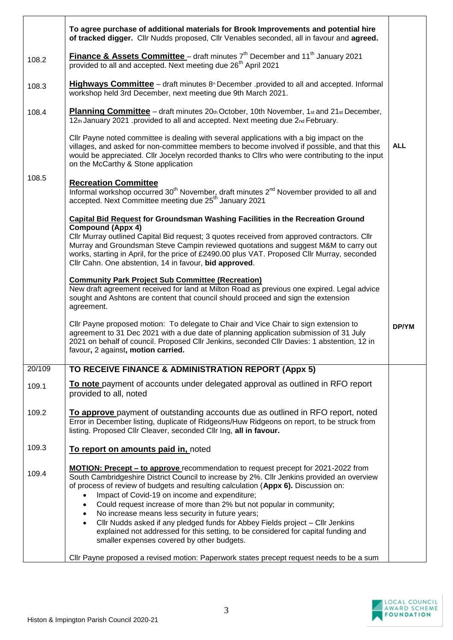|        | To agree purchase of additional materials for Brook Improvements and potential hire<br>of tracked digger. Cllr Nudds proposed, Cllr Venables seconded, all in favour and agreed.                                                                                                                                                                                                                                                                                                                                                                                                               |            |
|--------|------------------------------------------------------------------------------------------------------------------------------------------------------------------------------------------------------------------------------------------------------------------------------------------------------------------------------------------------------------------------------------------------------------------------------------------------------------------------------------------------------------------------------------------------------------------------------------------------|------------|
| 108.2  | <b>Finance &amp; Assets Committee</b> – draft minutes $7th$ December and 11 <sup>th</sup> January 2021<br>provided to all and accepted. Next meeting due 26 <sup>th</sup> April 2021                                                                                                                                                                                                                                                                                                                                                                                                           |            |
| 108.3  | <b>Highways Committee</b> – draft minutes 8 <sup>th</sup> December .provided to all and accepted. Informal<br>workshop held 3rd December, next meeting due 9th March 2021.                                                                                                                                                                                                                                                                                                                                                                                                                     |            |
| 108.4  | <b>Planning Committee</b> – draft minutes 20th October, 10th November, 1st and 21st December,<br>12th January 2021 .provided to all and accepted. Next meeting due 2nd February.                                                                                                                                                                                                                                                                                                                                                                                                               |            |
|        | CIIr Payne noted committee is dealing with several applications with a big impact on the<br>villages, and asked for non-committee members to become involved if possible, and that this<br>would be appreciated. Cllr Jocelyn recorded thanks to Cllrs who were contributing to the input<br>on the McCarthy & Stone application                                                                                                                                                                                                                                                               | <b>ALL</b> |
| 108.5  | <b>Recreation Committee</b><br>Informal workshop occurred 30 <sup>th</sup> November, draft minutes 2 <sup>nd</sup> November provided to all and<br>accepted. Next Committee meeting due 25 <sup>th</sup> January 2021                                                                                                                                                                                                                                                                                                                                                                          |            |
|        | <b>Capital Bid Request for Groundsman Washing Facilities in the Recreation Ground</b><br><b>Compound (Appx 4)</b><br>Cllr Murray outlined Capital Bid request; 3 quotes received from approved contractors. Cllr<br>Murray and Groundsman Steve Campin reviewed quotations and suggest M&M to carry out<br>works, starting in April, for the price of £2490.00 plus VAT. Proposed Cllr Murray, seconded<br>Cllr Cahn. One abstention, 14 in favour, bid approved.                                                                                                                              |            |
|        | <b>Community Park Project Sub Committee (Recreation)</b><br>New draft agreement received for land at Milton Road as previous one expired. Legal advice<br>sought and Ashtons are content that council should proceed and sign the extension<br>agreement.                                                                                                                                                                                                                                                                                                                                      |            |
|        | Cllr Payne proposed motion: To delegate to Chair and Vice Chair to sign extension to<br>agreement to 31 Dec 2021 with a due date of planning application submission of 31 July<br>2021 on behalf of council. Proposed Cllr Jenkins, seconded Cllr Davies: 1 abstention, 12 in<br>favour, 2 against, motion carried.                                                                                                                                                                                                                                                                            | DP/YM      |
| 20/109 | TO RECEIVE FINANCE & ADMINISTRATION REPORT (Appx 5)                                                                                                                                                                                                                                                                                                                                                                                                                                                                                                                                            |            |
| 109.1  | To note payment of accounts under delegated approval as outlined in RFO report<br>provided to all, noted                                                                                                                                                                                                                                                                                                                                                                                                                                                                                       |            |
| 109.2  | To approve payment of outstanding accounts due as outlined in RFO report, noted<br>Error in December listing, duplicate of Ridgeons/Huw Ridgeons on report, to be struck from<br>listing. Proposed Cllr Cleaver, seconded Cllr Ing, all in favour.                                                                                                                                                                                                                                                                                                                                             |            |
| 109.3  | To report on amounts paid in, noted                                                                                                                                                                                                                                                                                                                                                                                                                                                                                                                                                            |            |
| 109.4  | <b>MOTION: Precept - to approve</b> recommendation to request precept for 2021-2022 from<br>South Cambridgeshire District Council to increase by 2%. Cllr Jenkins provided an overview<br>of process of review of budgets and resulting calculation (Appx 6). Discussion on:<br>Impact of Covid-19 on income and expenditure;<br>$\bullet$<br>Could request increase of more than 2% but not popular in community;<br>$\bullet$<br>No increase means less security in future years;<br>$\bullet$<br>Cllr Nudds asked if any pledged funds for Abbey Fields project - Cllr Jenkins<br>$\bullet$ |            |
|        | explained not addressed for this setting, to be considered for capital funding and<br>smaller expenses covered by other budgets.                                                                                                                                                                                                                                                                                                                                                                                                                                                               |            |
|        | CIIr Payne proposed a revised motion: Paperwork states precept request needs to be a sum                                                                                                                                                                                                                                                                                                                                                                                                                                                                                                       |            |